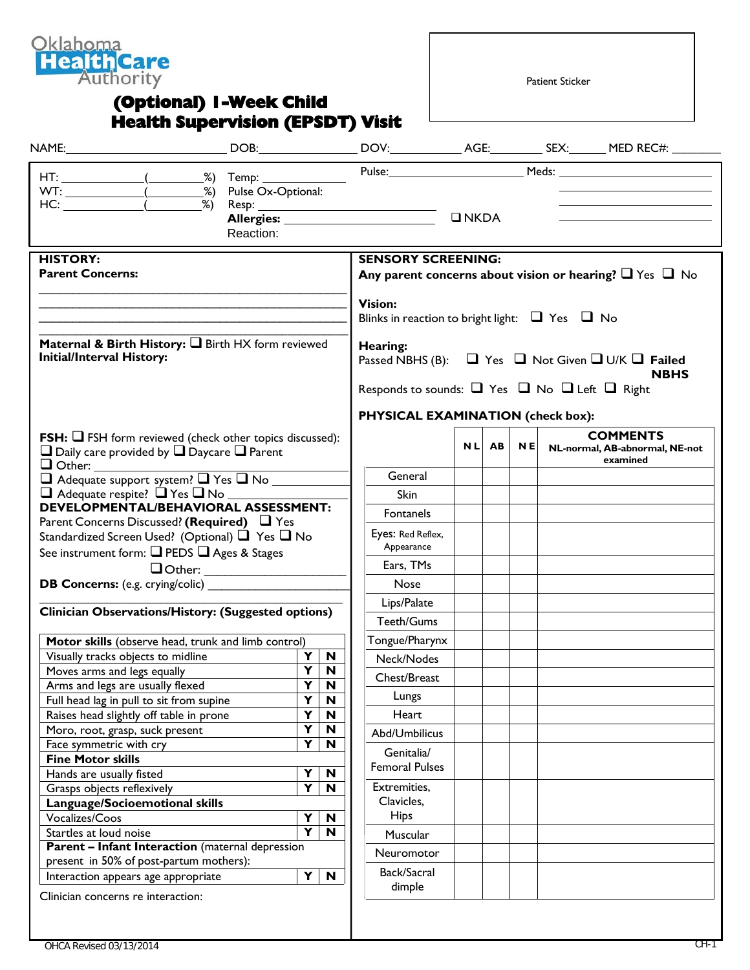

## **(Optional) 1-Week Child Health Supervision (EPSDT) Visit**

Patient Sticker

|                                                                                                                                    |  |           |                         |                                                                                   |                |                                                                   | $\n  INKDA\n$ |       |     |  |                                                                   |
|------------------------------------------------------------------------------------------------------------------------------------|--|-----------|-------------------------|-----------------------------------------------------------------------------------|----------------|-------------------------------------------------------------------|---------------|-------|-----|--|-------------------------------------------------------------------|
|                                                                                                                                    |  | Reaction: |                         |                                                                                   |                |                                                                   |               |       |     |  |                                                                   |
| <b>HISTORY:</b>                                                                                                                    |  |           |                         |                                                                                   |                | <b>SENSORY SCREENING:</b>                                         |               |       |     |  |                                                                   |
| <b>Parent Concerns:</b>                                                                                                            |  |           |                         |                                                                                   |                |                                                                   |               |       |     |  | Any parent concerns about vision or hearing? $\Box$ Yes $\Box$ No |
|                                                                                                                                    |  |           |                         |                                                                                   | <b>Vision:</b> |                                                                   |               |       |     |  |                                                                   |
|                                                                                                                                    |  |           |                         |                                                                                   |                | Blinks in reaction to bright light: $\Box$ Yes $\Box$ No          |               |       |     |  |                                                                   |
|                                                                                                                                    |  |           |                         |                                                                                   |                |                                                                   |               |       |     |  |                                                                   |
| Maternal & Birth History: I Birth HX form reviewed<br><b>Initial/Interval History:</b>                                             |  |           |                         | Hearing:<br>Passed NBHS (B): $\Box$ Yes $\Box$ Not Given $\Box$ U/K $\Box$ Failed |                |                                                                   |               |       |     |  |                                                                   |
|                                                                                                                                    |  |           |                         |                                                                                   |                |                                                                   |               |       |     |  | <b>NBHS</b>                                                       |
|                                                                                                                                    |  |           |                         |                                                                                   |                | Responds to sounds: $\Box$ Yes $\Box$ No $\Box$ Left $\Box$ Right |               |       |     |  |                                                                   |
|                                                                                                                                    |  |           |                         |                                                                                   |                | PHYSICAL EXAMINATION (check box):                                 |               |       |     |  |                                                                   |
|                                                                                                                                    |  |           |                         |                                                                                   |                |                                                                   |               |       |     |  | <b>COMMENTS</b>                                                   |
| <b>FSH:</b> $\Box$ FSH form reviewed (check other topics discussed):<br>$\Box$ Daily care provided by $\Box$ Daycare $\Box$ Parent |  |           |                         |                                                                                   |                |                                                                   |               | NL AB | N E |  | NL-normal, AB-abnormal, NE-not                                    |
|                                                                                                                                    |  |           |                         |                                                                                   |                |                                                                   |               |       |     |  | examined                                                          |
| Adequate support system? Thes TNo                                                                                                  |  |           |                         |                                                                                   |                | General                                                           |               |       |     |  |                                                                   |
| DEVELOPMENTAL/BEHAVIORAL ASSESSMENT:                                                                                               |  |           |                         |                                                                                   |                | <b>Skin</b>                                                       |               |       |     |  |                                                                   |
|                                                                                                                                    |  |           |                         |                                                                                   |                | Fontanels                                                         |               |       |     |  |                                                                   |
| Parent Concerns Discussed? (Required) $\Box$ Yes<br>Standardized Screen Used? (Optional) $\Box$ Yes $\Box$ No                      |  |           |                         |                                                                                   |                | Eyes: Red Reflex,                                                 |               |       |     |  |                                                                   |
| See instrument form: Q PEDS Q Ages & Stages                                                                                        |  |           |                         |                                                                                   |                | Appearance                                                        |               |       |     |  |                                                                   |
|                                                                                                                                    |  |           |                         |                                                                                   |                | Ears, TMs                                                         |               |       |     |  |                                                                   |
|                                                                                                                                    |  |           |                         |                                                                                   |                | <b>Nose</b>                                                       |               |       |     |  |                                                                   |
|                                                                                                                                    |  |           |                         |                                                                                   |                |                                                                   |               |       |     |  |                                                                   |
| Clinician Observations/History: (Suggested options)                                                                                |  |           |                         |                                                                                   |                | Lips/Palate                                                       |               |       |     |  |                                                                   |
|                                                                                                                                    |  |           |                         |                                                                                   |                | Teeth/Gums                                                        |               |       |     |  |                                                                   |
| Motor skills (observe head, trunk and limb control)                                                                                |  |           |                         |                                                                                   |                | Tongue/Pharynx                                                    |               |       |     |  |                                                                   |
| Visually tracks objects to midline                                                                                                 |  |           |                         | $Y \mid N$                                                                        |                | Neck/Nodes                                                        |               |       |     |  |                                                                   |
| Moves arms and legs equally                                                                                                        |  |           |                         | $Y$ $N$                                                                           |                | Chest/Breast                                                      |               |       |     |  |                                                                   |
| Arms and legs are usually flexed                                                                                                   |  |           | Y                       | $\mathbf N$                                                                       |                | Lungs                                                             |               |       |     |  |                                                                   |
| Full head lag in pull to sit from supine                                                                                           |  |           | Y<br>Y                  | N<br>$\mathbf N$                                                                  |                | Heart                                                             |               |       |     |  |                                                                   |
| Raises head slightly off table in prone                                                                                            |  |           | Y                       | N                                                                                 |                |                                                                   |               |       |     |  |                                                                   |
| Moro, root, grasp, suck present<br>Face symmetric with cry                                                                         |  |           | $\overline{\mathbf{Y}}$ | N                                                                                 |                | Abd/Umbilicus                                                     |               |       |     |  |                                                                   |
| <b>Fine Motor skills</b>                                                                                                           |  |           |                         |                                                                                   |                | Genitalia/                                                        |               |       |     |  |                                                                   |
| Hands are usually fisted                                                                                                           |  |           | Y                       | N                                                                                 |                | <b>Femoral Pulses</b>                                             |               |       |     |  |                                                                   |
| Grasps objects reflexively                                                                                                         |  |           | $\overline{\mathbf{Y}}$ | $\mathbf N$                                                                       |                | Extremities,                                                      |               |       |     |  |                                                                   |
| Language/Socioemotional skills                                                                                                     |  |           |                         |                                                                                   |                | Clavicles,                                                        |               |       |     |  |                                                                   |
| Vocalizes/Coos                                                                                                                     |  |           | Y                       | N                                                                                 |                | <b>Hips</b>                                                       |               |       |     |  |                                                                   |
| Startles at loud noise                                                                                                             |  |           | $\overline{\mathbf{Y}}$ | $\mathbf N$                                                                       |                | Muscular                                                          |               |       |     |  |                                                                   |
| <b>Parent - Infant Interaction</b> (maternal depression                                                                            |  |           |                         |                                                                                   |                |                                                                   |               |       |     |  |                                                                   |
|                                                                                                                                    |  |           |                         |                                                                                   |                | Neuromotor                                                        |               |       |     |  |                                                                   |
|                                                                                                                                    |  |           |                         |                                                                                   |                |                                                                   |               |       |     |  |                                                                   |
| present in 50% of post-partum mothers):<br>Interaction appears age appropriate                                                     |  |           | $\blacktriangleleft$    | N                                                                                 |                | Back/Sacral                                                       |               |       |     |  |                                                                   |